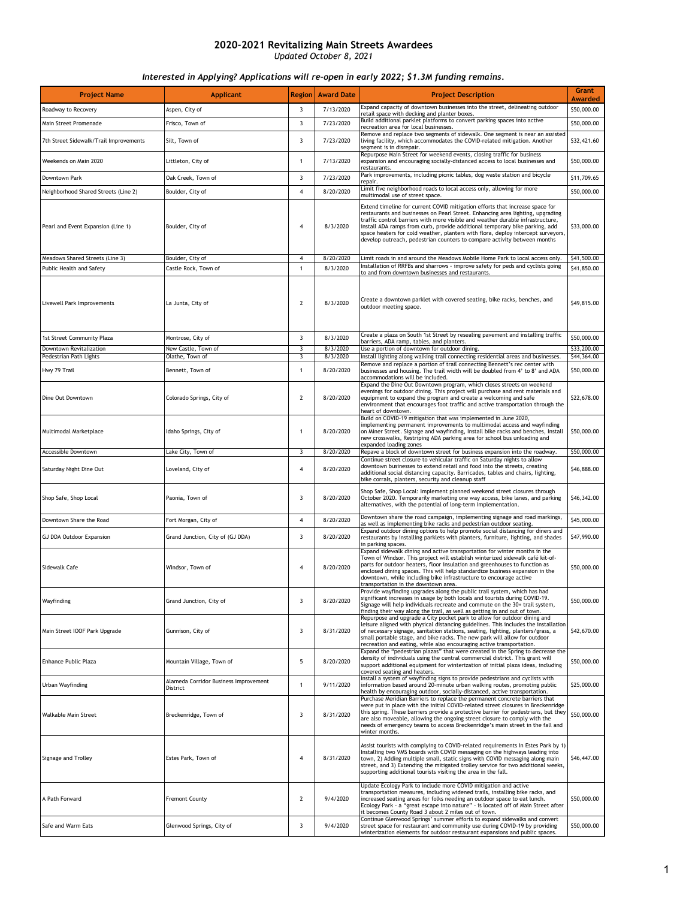| <b>Project Name</b>                    | <b>Applicant</b>                                  | <b>Region</b>           | <b>Award Date</b>      | <b>Project Description</b>                                                                                                                                                                                                                                                                                                                                                                                                                                                                      | <b>Grant</b><br><b>Awarded</b> |
|----------------------------------------|---------------------------------------------------|-------------------------|------------------------|-------------------------------------------------------------------------------------------------------------------------------------------------------------------------------------------------------------------------------------------------------------------------------------------------------------------------------------------------------------------------------------------------------------------------------------------------------------------------------------------------|--------------------------------|
| Roadway to Recovery                    | Aspen, City of                                    | 3                       | 7/13/2020              | Expand capacity of downtown businesses into the street, delineating outdoor                                                                                                                                                                                                                                                                                                                                                                                                                     | \$50,000.00                    |
| Main Street Promenade                  | Frisco, Town of                                   | 3                       | 7/23/2020              | retail space with decking and planter boxes.<br>Build additional parklet platforms to convert parking spaces into active                                                                                                                                                                                                                                                                                                                                                                        | \$50,000.00                    |
|                                        |                                                   |                         |                        | recreation area for local businesses.<br>Remove and replace two segments of sidewalk. One segment is near an assisted                                                                                                                                                                                                                                                                                                                                                                           |                                |
| 7th Street Sidewalk/Trail Improvements | Silt, Town of                                     | 3                       | 7/23/2020              | living facility, which accommodates the COVID-related mitigation. Another<br>segment is in disrepair.<br>Repurpose Main Street for weekend events, closing traffic for business                                                                                                                                                                                                                                                                                                                 | \$32,421.60                    |
| Weekends on Main 2020                  | Littleton, City of                                | 1                       | 7/13/2020              | expansion and encouraging socially-distanced access to local businesses and<br>restaurants.                                                                                                                                                                                                                                                                                                                                                                                                     | \$50,000.00                    |
| Downtown Park                          | Oak Creek, Town of                                | 3                       | 7/23/2020              | Park improvements, including picnic tables, dog waste station and bicycle<br>repair.                                                                                                                                                                                                                                                                                                                                                                                                            | \$11,709.65                    |
| Neighborhood Shared Streets (Line 2)   | Boulder, City of                                  | 4                       | 8/20/2020              | Limit five neighborhood roads to local access only, allowing for more<br>multimodal use of street space.                                                                                                                                                                                                                                                                                                                                                                                        | \$50,000.00                    |
| Pearl and Event Expansion (Line 1)     | Boulder, City of                                  | $\overline{4}$          | 8/3/2020               | Extend timeline for current COVID mitigation efforts that increase space for<br>restaurants and businesses on Pearl Street. Enhancing area lighting, upgrading<br>traffic control barriers with more visible and weather durable infrastructure,<br>install ADA ramps from curb, provide additional temporary bike parking, add<br>space heaters for cold weather, planters with flora, deploy intercept surveyors,<br>develop outreach, pedestrian counters to compare activity between months | \$33,000.00                    |
| Meadows Shared Streets (Line 3)        | Boulder, City of                                  | 4                       | 8/20/2020              | Limit roads in and around the Meadows Mobile Home Park to local access only.                                                                                                                                                                                                                                                                                                                                                                                                                    | \$41,500.00                    |
| Public Health and Safety               | Castle Rock, Town of                              | $\mathbf{1}$            | 8/3/2020               | Installation of RRFBs and sharrows - improve safety for peds and cyclists going<br>to and from downtown businesses and restaurants.                                                                                                                                                                                                                                                                                                                                                             | \$41,850.00                    |
| Livewell Park Improvements             | La Junta, City of                                 | $\overline{2}$          | 8/3/2020               | Create a downtown parklet with covered seating, bike racks, benches, and<br>outdoor meeting space.                                                                                                                                                                                                                                                                                                                                                                                              | \$49,815.00                    |
| 1st Street Community Plaza             | Montrose, City of                                 | 3                       | 8/3/2020               | Create a plaza on South 1st Street by resealing pavement and installing traffic<br>barriers, ADA ramp, tables, and planters.                                                                                                                                                                                                                                                                                                                                                                    | \$50,000.00                    |
| Downtown Revitalization                | New Castle, Town of                               | $\overline{\mathbf{3}}$ | 8/3/2020               | Use a portion of downtown for outdoor dining.                                                                                                                                                                                                                                                                                                                                                                                                                                                   | \$33,200.00                    |
| Pedestrian Path Lights                 | Olathe, Town of                                   | 3                       | 8/3/2020               | Install lighting along walking trail connecting residential areas and businesses.<br>Remove and replace a portion of trail connecting Bennett's rec center with                                                                                                                                                                                                                                                                                                                                 | \$44,364.00                    |
| Hwy 79 Trail<br>Dine Out Downtown      | Bennett, Town of                                  | 1<br>2                  | 8/20/2020<br>8/20/2020 | businesses and housing. The trail width will be doubled from 4' to 8' and ADA<br>accommodations will be included.<br>Expand the Dine Out Downtown program, which closes streets on weekend<br>evenings for outdoor dining. This project will purchase and rent materials and<br>equipment to expand the program and create a welcoming and safe                                                                                                                                                 | \$50,000.00<br>\$22,678.00     |
|                                        | Colorado Springs, City of                         |                         |                        | environment that encourages foot traffic and active transportation through the<br>heart of downtown.<br>Build on COVID-19 mitigation that was implemented in June 2020,<br>implementing permanent improvements to multimodal access and wayfinding                                                                                                                                                                                                                                              |                                |
| Multimodal Marketplace                 | Idaho Springs, City of                            | $\mathbf{1}$            | 8/20/2020              | on Miner Street. Signage and wayfinding, Install bike racks and benches, Install<br>new crosswalks, Restriping ADA parking area for school bus unloading and<br>expanded loading zones                                                                                                                                                                                                                                                                                                          | \$50,000.00                    |
| Accessible Downtown                    | Lake City, Town of                                | 3                       | 8/20/2020              | Repave a block of downtown street for business expansion into the roadway.<br>Continue street closure to vehicular traffic on Saturday nights to allow                                                                                                                                                                                                                                                                                                                                          | \$50,000.00                    |
| Saturday Night Dine Out                | Loveland, City of                                 | 4                       | 8/20/2020              | downtown businesses to extend retail and food into the streets, creating<br>additional social distancing capacity. Barricades, tables and chairs, lighting,<br>bike corrals, planters, security and cleanup staff                                                                                                                                                                                                                                                                               | \$46,888.00                    |
| Shop Safe, Shop Local                  | Paonia, Town of                                   | 3                       | 8/20/2020              | Shop Safe, Shop Local: Implement planned weekend street closures through<br>October 2020. Temporarily marketing one way access, bike lanes, and parking<br>alternatives, with the potential of long-term implementation.                                                                                                                                                                                                                                                                        | \$46,342.00                    |
| Downtown Share the Road                | Fort Morgan, City of                              | 4                       | 8/20/2020              | Downtown share the road campaign, implementing signage and road markings,<br>as well as implementing bike racks and pedestrian outdoor seating.                                                                                                                                                                                                                                                                                                                                                 | \$45,000.00                    |
| GJ DDA Outdoor Expansion               | Grand Junction, City of (GJ DDA)                  | 3                       | 8/20/2020              | Expand outdoor dining options to help promote social distancing for diners and<br>restaurants by installing parklets with planters, furniture, lighting, and shades<br>in parking spaces.                                                                                                                                                                                                                                                                                                       | \$47,990.00                    |
| Sidewalk Cafe                          | Windsor, Town of                                  | 4                       | 8/20/2020              | Expand sidewalk dining and active transportation for winter months in the<br>Town of Windsor. This project will establish winterized sidewalk café kit-of-<br>parts for outdoor heaters, floor insulation and greenhouses to function as<br>enclosed dining spaces. This will help standardize business expansion in the<br>downtown, while including bike infrastructure to encourage active<br>transportation in the downtown area.                                                           | \$50,000.00                    |
| Wayfinding                             | Grand Junction, City of                           | 3                       | 8/20/2020              | Provide wayfinding upgrades along the public trail system, which has had<br>significant increases in usage by both locals and tourists during COVID-19.<br>Signage will help individuals recreate and commute on the 30+ trail system,<br>finding their way along the trail, as well as getting in and out of town.                                                                                                                                                                             | \$50,000.00                    |
| Main Street IOOF Park Upgrade          | Gunnison, City of                                 | 3                       | 8/31/2020              | Repurpose and upgrade a City pocket park to allow for outdoor dining and<br>leisure aligned with physical distancing guidelines. This includes the installation<br>of necessary signage, sanitation stations, seating, lighting, planters/grass, a<br>small portable stage, and bike racks. The new park will allow for outdoor<br>recreation and eating, while also encouraging active transportation.                                                                                         | \$42,670.00                    |
| Enhance Public Plaza                   | Mountain Village, Town of                         | 5                       | 8/20/2020              | Expand the "pedestrian plazas" that were created in the Spring to decrease the<br>density of individuals using the central commercial district. This grant will<br>support additional equipment for winterization of initial plaza ideas, including<br>covered seating and heaters.                                                                                                                                                                                                             | \$50,000.00                    |
| Urban Wayfinding                       | Alameda Corridor Business Improvement<br>District | 1                       | 9/11/2020              | Install a system of wayfinding signs to provide pedestrians and cyclists with<br>information based around 20-minute urban walking routes, promoting public<br>health by encouraging outdoor, socially-distanced, active transportation.                                                                                                                                                                                                                                                         | \$25,000.00                    |
| Walkable Main Street                   | Breckenridge, Town of                             | 3                       | 8/31/2020              | Purchase Meridian Barriers to replace the permanent concrete barriers that<br>were put in place with the initial COVID-related street closures in Breckenridge<br>this spring. These barriers provide a protective barrier for pedestrians, but they<br>are also moveable, allowing the ongoing street closure to comply with the<br>needs of emergency teams to access Breckenridge's main street in the fall and<br>winter months.                                                            | \$50,000.00                    |
| Signage and Trolley                    | Estes Park, Town of                               | 4                       | 8/31/2020              | Assist tourists with complying to COVID-related requirements in Estes Park by 1)<br>Installing two VMS boards with COVID messaging on the highways leading into<br>town, 2) Adding multiple small, static signs with COVID messaging along main<br>street, and 3) Extending the mitigated trolley service for two additional weeks,<br>supporting additional tourists visiting the area in the fall.                                                                                            | \$46,447.00                    |
| A Path Forward                         | <b>Fremont County</b>                             | $\mathbf{2}$            | 9/4/2020               | Update Ecology Park to include more COVID mitigation and active<br>transportation measures, including widened trails, installing bike racks, and<br>increased seating areas for folks needing an outdoor space to eat lunch.<br>Ecology Park - a "great escape into nature" - is located off of Main Street after<br>it becomes County Road 3 about 2 miles out of town.                                                                                                                        | \$50,000.00                    |
| Safe and Warm Eats                     | Glenwood Springs, City of                         | 3                       | 9/4/2020               | Continue Glenwood Springs' summer efforts to expand sidewalks and convert<br>street space for restaurant and community use during COVID-19 by providing<br>winterization elements for outdoor restaurant expansions and public spaces.                                                                                                                                                                                                                                                          | \$50,000.00                    |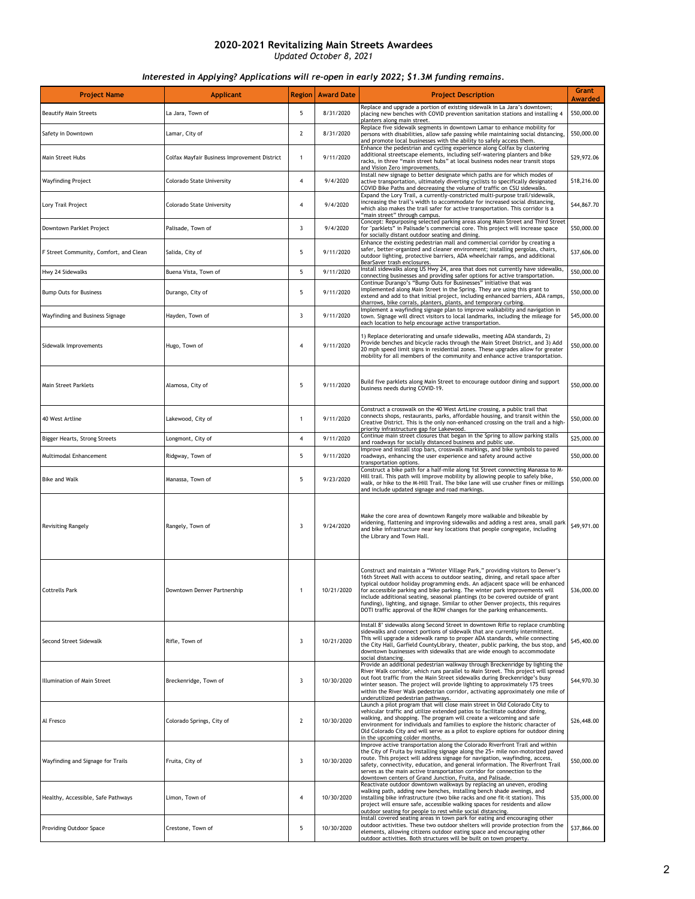| <b>Project Name</b>                    | <b>Applicant</b>                             | <b>Region</b>  | <b>Award Date</b> | <b>Project Description</b>                                                                                                                                                                                                                                                                                                                                                                                                                                                                                                                                                      | <b>Grant</b><br><b>Awarded</b> |
|----------------------------------------|----------------------------------------------|----------------|-------------------|---------------------------------------------------------------------------------------------------------------------------------------------------------------------------------------------------------------------------------------------------------------------------------------------------------------------------------------------------------------------------------------------------------------------------------------------------------------------------------------------------------------------------------------------------------------------------------|--------------------------------|
| <b>Beautify Main Streets</b>           | La Jara, Town of                             | 5              | 8/31/2020         | Replace and upgrade a portion of existing sidewalk in La Jara's downtown;<br>placing new benches with COVID prevention sanitation stations and installing 4<br>planters along main street.                                                                                                                                                                                                                                                                                                                                                                                      | \$50,000.00                    |
| Safety in Downtown                     | Lamar, City of                               | $\overline{2}$ | 8/31/2020         | Replace five sidewalk segments in downtown Lamar to enhance mobility for<br>persons with disabilities, allow safe passing while maintaining social distancing,<br>and promote local businesses with the ability to safely access them.                                                                                                                                                                                                                                                                                                                                          | \$50,000.00                    |
| Main Street Hubs                       | Colfax Mayfair Business Improvement District | $\mathbf{1}$   | 9/11/2020         | Enhance the pedestrian and cycling experience along Colfax by clustering<br>additional streetscape elements, including self-watering planters and bike<br>racks, in three "main street hubs" at local business nodes near transit stops<br>and Vision Zero improvements.                                                                                                                                                                                                                                                                                                        | \$29,972.06                    |
| Wayfinding Project                     | Colorado State University                    | 4              | 9/4/2020          | Install new signage to better designate which paths are for which modes of<br>active transportation, ultimately diverting cyclists to specifically designated<br>COVID Bike Paths and decreasing the volume of traffic on CSU sidewalks.                                                                                                                                                                                                                                                                                                                                        | \$18,216.00                    |
| Lory Trail Project                     | Colorado State University                    | 4              | 9/4/2020          | Expand the Lory Trail, a currently-constricted multi-purpose trail/sidewalk,<br>increasing the trail's width to accommodate for increased social distancing,<br>which also makes the trail safer for active transportation. This corridor is a<br>"main street" through campus.                                                                                                                                                                                                                                                                                                 | \$44,867.70                    |
| Downtown Parklet Project               | Palisade, Town of                            | 3              | 9/4/2020          | Concept: Repurposing selected parking areas along Main Street and Third Street<br>for "parklets" in Palisade's commercial core. This project will increase space<br>for socially distant outdoor seating and dining.                                                                                                                                                                                                                                                                                                                                                            | \$50,000.00                    |
| F Street Community, Comfort, and Clean | Salida, City of                              | 5              | 9/11/2020         | Enhance the existing pedestrian mall and commercial corridor by creating a<br>safer, better-organized and cleaner environment; installing pergolas, chairs,<br>outdoor lighting, protective barriers, ADA wheelchair ramps, and additional<br>BearSaver trash enclosures.                                                                                                                                                                                                                                                                                                       | \$37,606.00                    |
| Hwy 24 Sidewalks                       | Buena Vista, Town of                         | 5              | 9/11/2020         | Install sidewalks along US Hwy 24, area that does not currently have sidewalks,<br>connecting businesses and providing safer options for active transportation.                                                                                                                                                                                                                                                                                                                                                                                                                 | \$50,000.00                    |
| <b>Bump Outs for Business</b>          | Durango, City of                             | 5              | 9/11/2020         | Continue Durango's "Bump Outs for Businesses" initiative that was<br>implemented along Main Street in the Spring. They are using this grant to<br>extend and add to that initial project, including enhanced barriers, ADA ramps<br>sharrows, bike corrals, planters, plants, and temporary curbing.                                                                                                                                                                                                                                                                            | \$50,000.00                    |
| Wayfinding and Business Signage        | Hayden, Town of                              | 3              | 9/11/2020         | Implement a wayfinding signage plan to improve walkability and navigation in<br>town. Signage will direct visitors to local landmarks, including the mileage for<br>each location to help encourage active transportation.                                                                                                                                                                                                                                                                                                                                                      | \$45,000.00                    |
| Sidewalk Improvements                  | Hugo, Town of                                | $\overline{4}$ | 9/11/2020         | 1) Replace deteriorating and unsafe sidewalks, meeting ADA standards, 2)<br>Provide benches and bicycle racks through the Main Street District, and 3) Add<br>20 mph speed limit signs in residential zones. These upgrades allow for greater<br>mobility for all members of the community and enhance active transportation.                                                                                                                                                                                                                                                   | \$50,000.00                    |
| Main Street Parklets                   | Alamosa, City of                             | 5              | 9/11/2020         | Build five parklets along Main Street to encourage outdoor dining and support<br>business needs during COVID-19.                                                                                                                                                                                                                                                                                                                                                                                                                                                                | \$50,000.00                    |
| 40 West Artline                        | Lakewood, City of                            | $\mathbf{1}$   | 9/11/2020         | Construct a crosswalk on the 40 West ArtLine crossing, a public trail that<br>connects shops, restaurants, parks, affordable housing, and transit within the<br>Creative District. This is the only non-enhanced crossing on the trail and a high-<br>priority infrastructure gap for Lakewood.                                                                                                                                                                                                                                                                                 | \$50,000.00                    |
| Bigger Hearts, Strong Streets          | Longmont, City of                            | 4              | 9/11/2020         | Continue main street closures that began in the Spring to allow parking stalls<br>and roadways for socially distanced business and public use.                                                                                                                                                                                                                                                                                                                                                                                                                                  | \$25,000.00                    |
| Multimodal Enhancement                 | Ridgway, Town of                             | 5              | 9/11/2020         | Improve and install stop bars, crosswalk markings, and bike symbols to paved<br>roadways, enhancing the user experience and safety around active<br>transportation options.                                                                                                                                                                                                                                                                                                                                                                                                     | \$50,000.00                    |
| <b>Bike and Walk</b>                   | Manassa, Town of                             | 5              | 9/23/2020         | Construct a bike path for a half-mile along 1st Street connecting Manassa to M-<br>Hill trail. This path will improve mobility by allowing people to safely bike,<br>walk, or hike to the M-Hill Trail. The bike lane will use crusher fines or millings<br>and include updated signage and road markings.                                                                                                                                                                                                                                                                      | \$50,000.00                    |
| <b>Revisiting Rangely</b>              | Rangely, Town of                             | 3              | 9/24/2020         | Make the core area of downtown Rangely more walkable and bikeable by<br>widening, flattening and improving sidewalks and adding a rest area, small park<br>and bike infrastructure near key locations that people congregate, including<br>the Library and Town Hall.                                                                                                                                                                                                                                                                                                           | \$49,971.00                    |
| <b>Cottrells Park</b>                  | Downtown Denver Partnership                  | 1              | 10/21/2020        | Construct and maintain a "Winter Village Park," providing visitors to Denver's<br>16th Street Mall with access to outdoor seating, dining, and retail space after<br>typical outdoor holiday programming ends. An adjacent space will be enhanced<br>for accessible parking and bike parking. The winter park improvements will<br>include additional seating, seasonal plantings (to be covered outside of grant<br>funding), lighting, and signage. Similar to other Denver projects, this requires<br>DOTI traffic approval of the ROW changes for the parking enhancements. | \$36,000.00                    |
| Second Street Sidewalk                 | Rifle, Town of                               | 3              | 10/21/2020        | Install 8' sidewalks along Second Street in downtown Rifle to replace crumbling<br>sidewalks and connect portions of sidewalk that are currently intermittent.<br>This will upgrade a sidewalk ramp to proper ADA standards, while connecting<br>the City Hall, Garfield CountyLibrary, theater, public parking, the bus stop, and<br>downtown businesses with sidewalks that are wide enough to accommodate<br>social distancing.                                                                                                                                              | \$45,400.00                    |
| Illumination of Main Street            | Breckenridge, Town of                        | 3              | 10/30/2020        | Provide an additional pedestrian walkway through Breckenridge by lighting the<br>River Walk corridor, which runs parallel to Main Street. This project will spread<br>out foot traffic from the Main Street sidewalks during Breckenridge's busy<br>winter season. The project will provide lighting to approximately 175 trees<br>within the River Walk pedestrian corridor, activating approximately one mile of<br>underutilized pedestrian pathways.                                                                                                                        | \$44,970.30                    |
| Al Fresco                              | Colorado Springs, City of                    | $\mathbf{2}$   | 10/30/2020        | Launch a pilot program that will close main street in Old Colorado City to<br>vehicular traffic and utilize extended patios to facilitate outdoor dining,<br>walking, and shopping. The program will create a welcoming and safe<br>environment for individuals and families to explore the historic character of<br>Old Colorado City and will serve as a pilot to explore options for outdoor dining<br>in the upcoming colder months.                                                                                                                                        | \$26,448.00                    |
| Wayfinding and Signage for Trails      | Fruita, City of                              | 3              | 10/30/2020        | Improve active transportation along the Colorado Riverfront Trail and within<br>the City of Fruita by installing signage along the 25+ mile non-motorized paved<br>route. This project will address signage for navigation, wayfinding, access,<br>safety, connectivity, education, and general information. The Riverfront Trail<br>serves as the main active transportation corridor for connection to the<br>downtown centers of Grand Junction, Fruita, and Palisade.                                                                                                       | \$50,000.00                    |
| Healthy, Accessible, Safe Pathways     | Limon, Town of                               | 4              | 10/30/2020        | Reactivate outdoor downtown walkways by replacing an uneven, eroding<br>walking path, adding new benches, installing bench shade awnings, and<br>installing bike infrastructure (two bike racks and one fit-it station). This<br>project will ensure safe, accessible walking spaces for residents and allow<br>outdoor seating for people to rest while social distancing.                                                                                                                                                                                                     | \$35,000.00                    |
| Providing Outdoor Space                | Crestone, Town of                            | 5              | 10/30/2020        | Install covered seating areas in town park for eating and encouraging other<br>outdoor activities. These two outdoor shelters will provide protection from the<br>elements, allowing citizens outdoor eating space and encouraging other<br>outdoor activities. Both structures will be built on town property.                                                                                                                                                                                                                                                                 | \$37,866.00                    |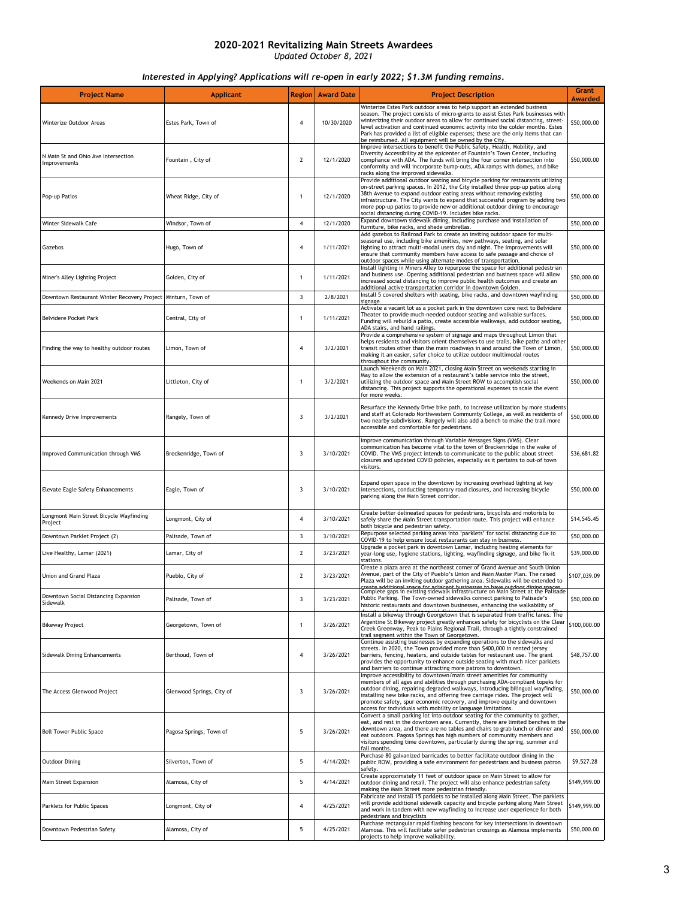| <b>Project Name</b>                                            | <b>Applicant</b>          | <b>Region</b>  | <b>Award Date</b> | <b>Project Description</b>                                                                                                                                                                                                                                                                                                                                                                                                                                                         | Grant<br>Awarded |
|----------------------------------------------------------------|---------------------------|----------------|-------------------|------------------------------------------------------------------------------------------------------------------------------------------------------------------------------------------------------------------------------------------------------------------------------------------------------------------------------------------------------------------------------------------------------------------------------------------------------------------------------------|------------------|
| Winterize Outdoor Areas                                        | Estes Park, Town of       | 4              | 10/30/2020        | Winterize Estes Park outdoor areas to help support an extended business<br>season. The project consists of micro-grants to assist Estes Park businesses with<br>winterizing their outdoor areas to allow for continued social distancing, street-<br>level activation and continued economic activity into the colder months. Estes<br>Park has provided a list of eligible expenses; these are the only items that can<br>be reimbursed. All equipment will be owned by the City. | \$50,000.00      |
| N Main St and Ohio Ave Intersection<br>Improvements            | Fountain, City of         | $\overline{2}$ | 12/1/2020         | Improve intersections to benefit the Public Safety, Health, Mobility, and<br>Diversity Accessibility at the epicenter of Fountain's Town Center, including<br>compliance with ADA. The funds will bring the four corner intersection into<br>conformity and will incorporate bump-outs, ADA ramps with domes, and bike<br>racks along the improved sidewalks.                                                                                                                      | \$50,000.00      |
| Pop-up Patios                                                  | Wheat Ridge, City of      | $\mathbf{1}$   | 12/1/2020         | Provide additional outdoor seating and bicycle parking for restaurants utilizing<br>on-street parking spaces. In 2012, the City installed three pop-up patios along<br>38th Avenue to expand outdoor eating areas without removing existing<br>infrastructure. The City wants to expand that successful program by adding two<br>more pop-up patios to provide new or additional outdoor dining to encourage<br>social distancing during COVID-19. Includes bike racks.            | \$50,000.00      |
| Winter Sidewalk Cafe                                           | Windsor, Town of          | 4              | 12/1/2020         | Expand downtown sidewalk dining, including purchase and installation of<br>furniture, bike racks, and shade umbrellas.                                                                                                                                                                                                                                                                                                                                                             | \$50,000.00      |
| Gazebos                                                        | Hugo, Town of             | 4              | 1/11/2021         | Add gazebos to Railroad Park to create an inviting outdoor space for multi-<br>seasonal use, including bike amenities, new pathways, seating, and solar<br>lighting to attract multi-modal users day and night. The improvements will<br>ensure that community members have access to safe passage and choice of<br>outdoor spaces while using alternate modes of transportation.                                                                                                  | \$50,000.00      |
| Miner's Alley Lighting Project                                 | Golden, City of           | 1              | 1/11/2021         | Install lighting in Miners Alley to repurpose the space for additional pedestrian<br>and business use. Opening additional pedestrian and business space will allow<br>increased social distancing to improve public health outcomes and create an<br>additional active transportation corridor in downtown Golden.                                                                                                                                                                 | \$50,000.00      |
| Downtown Restaurant Winter Recovery Project   Minturn, Town of |                           | 3              | 2/8/2021          | Install 5 covered shelters with seating, bike racks, and downtown wayfinding<br>signage                                                                                                                                                                                                                                                                                                                                                                                            | \$50,000.00      |
| Belvidere Pocket Park                                          | Central, City of          | $\mathbf{1}$   | 1/11/2021         | Activate a vacant lot as a pocket park in the downtown core next to Belvidere<br>Theater to provide much-needed outdoor seating and walkable surfaces.<br>Funding will rebuild a patio, create accessible walkways, add outdoor seating,<br>ADA stairs, and hand railings.                                                                                                                                                                                                         | \$50,000.00      |
| Finding the way to healthy outdoor routes                      | Limon, Town of            | 4              | 3/2/2021          | Provide a comprehensive system of signage and maps throughout Limon that<br>helps residents and visitors orient themselves to use trails, bike paths and other<br>transit routes other than the main roadways in and around the Town of Limon,<br>making it an easier, safer choice to utilize outdoor multimodal routes<br>throughout the community.                                                                                                                              | \$50,000.00      |
| Weekends on Main 2021                                          | Littleton, City of        | 1              | 3/2/2021          | Launch Weekends on Main 2021, closing Main Street on weekends starting in<br>May to allow the extension of a restaurant's table service into the street,<br>utilizing the outdoor space and Main Street ROW to accomplish social<br>distancing. This project supports the operational expenses to scale the event<br>for more weeks.                                                                                                                                               | \$50,000.00      |
| Kennedy Drive Improvements                                     | Rangely, Town of          | 3              | 3/2/2021          | Resurface the Kennedy Drive bike path, to increase utilization by more students<br>and staff at Colorado Northwestern Community College, as well as residents of<br>two nearby subdivisions. Rangely will also add a bench to make the trail more<br>accessible and comfortable for pedestrians.                                                                                                                                                                                   | \$50,000.00      |
| Improved Communication through VMS                             | Breckenridge, Town of     | 3              | 3/10/2021         | Improve communication through Variable Messages Signs (VMS). Clear<br>communication has become vital to the town of Breckenridge in the wake of<br>COVID. The VMS project intends to communicate to the public about street<br>closures and updated COVID policies, especially as it pertains to out-of town<br>visitors.                                                                                                                                                          | \$36,681.82      |
| <b>Elevate Eagle Safety Enhancements</b>                       | Eagle, Town of            | 3              | 3/10/2021         | Expand open space in the downtown by increasing overhead lighting at key<br>intersections, conducting temporary road closures, and increasing bicycle<br>parking along the Main Street corridor.                                                                                                                                                                                                                                                                                   | \$50,000.00      |
| Longmont Main Street Bicycle Wayfinding<br>Project             | Longmont, City of         | 4              | 3/10/2021         | Create better delineated spaces for pedestrians, bicyclists and motorists to<br>safely share the Main Street transportation route. This project will enhance<br>both bicycle and pedestrian safety.                                                                                                                                                                                                                                                                                | \$14,545.45      |
| Downtown Parklet Project (2)                                   | Palisade, Town of         | 3              | 3/10/2021         | Repurpose selected parking areas into 'parklets' for social distancing due to<br>COVID-19 to help ensure local restaurants can stay in business.                                                                                                                                                                                                                                                                                                                                   | \$50,000.00      |
| Live Healthy, Lamar (2021)                                     | Lamar, City of            | 2              | 3/23/2021         | Upgrade a pocket park in downtown Lamar, including heating elements for<br>year-long use, hygiene stations, lighting, wayfinding signage, and bike fix-it<br>stations.                                                                                                                                                                                                                                                                                                             | \$39,000.00      |
| Union and Grand Plaza                                          | Pueblo, City of           | 2              | 3/23/2021         | Create a plaza area at the northeast corner of Grand Avenue and South Union<br>Avenue, part of the City of Pueblo's Union and Main Master Plan. The raised<br>Plaza will be an inviting outdoor gathering area. Sidewalks will be extended to<br>create additional space for adiacent businesses to have outdoor dining spaces                                                                                                                                                     | \$107,039.09     |
| Downtown Social Distancing Expansion<br>Sidewalk               | Palisade, Town of         | 3              | 3/23/2021         | Complete gaps in existing sidewalk infrastructure on Main Street at the Palisade<br>Public Parking. The Town-owned sidewalks connect parking to Palisade's<br>historic restaurants and downtown businesses, enhancing the walkability of<br>downtown and providing eacial distancing and multi-modal transportation. The Install a bikeway through Georgetown that is separated from traffic lanes. The                                                                            | \$50,000.00      |
| <b>Bikeway Project</b>                                         | Georgetown, Town of       | 1              | 3/26/2021         | Argentine St Bikeway project greatly enhances safety for bicyclists on the Clear<br>Creek Greenway, Peak to Plains Regional Trail, through a tightly constrained<br>trail segment within the Town of Georgetown.                                                                                                                                                                                                                                                                   | \$100,000.00     |
| Sidewalk Dining Enhancements                                   | Berthoud, Town of         | 4              | 3/26/2021         | Continue assisting businesses by expanding operations to the sidewalks and<br>streets. In 2020, the Town provided more than \$400,000 in rented jersey<br>barriers, fencing, heaters, and outside tables for restaurant use. The grant<br>provides the opportunity to enhance outside seating with much nicer parklets<br>and barriers to continue attracting more patrons to downtown.                                                                                            | \$48,757.00      |
| The Access Glenwood Project                                    | Glenwood Springs, City of | 3              | 3/26/2021         | Improve accessibility to downtown/main street amenities for community<br>members of all ages and abilities through purchasing ADA-compliant topeks for<br>outdoor dining, repairing degraded walkways, introducing bilingual wayfinding,<br>installing new bike racks, and offering free carriage rides. The project will<br>promote safety, spur economic recovery, and improve equity and downtown<br>access for individuals with mobility or language limitations.              | \$50,000.00      |
| <b>Bell Tower Public Space</b>                                 | Pagosa Springs, Town of   | 5              | 3/26/2021         | Convert a small parking lot into outdoor seating for the community to gather,<br>eat, and rest in the downtown area. Currently, there are limited benches in the<br>downtown area, and there are no tables and chairs to grab lunch or dinner and<br>eat outdoors. Pagosa Springs has high numbers of community members and<br>visitors spending time downtown, particularly during the spring, summer and<br>fall months.                                                         | \$50,000.00      |
| <b>Outdoor Dining</b>                                          | Silverton, Town of        | 5              | 4/14/2021         | Purchase 80 galvanized barricades to better facilitate outdoor dining in the<br>public ROW, providing a safe environment for pedestrians and business patron<br>safety.                                                                                                                                                                                                                                                                                                            | \$9,527.28       |
| Main Street Expansion                                          | Alamosa, City of          | 5              | 4/14/2021         | Create approximately 11 feet of outdoor space on Main Street to allow for<br>outdoor dining and retail. The project will also enhance pedestrian safety<br>making the Main Street more pedestrian friendly.                                                                                                                                                                                                                                                                        | \$149,999.00     |
| Parklets for Public Spaces                                     | Longmont, City of         | 4              | 4/25/2021         | Fabricate and install 15 parklets to be installed along Main Street. The parklets<br>will provide additional sidewalk capacity and bicycle parking along Main Street<br>and work in tandem with new wayfinding to increase user experience for both<br>pedestrians and bicyclists                                                                                                                                                                                                  | \$149,999.00     |
| Downtown Pedestrian Safety                                     | Alamosa, City of          | 5              | 4/25/2021         | Purchase rectangular rapid flashing beacons for key intersections in downtown<br>Alamosa. This will facilitate safer pedestrian crossings as Alamosa implements<br>projects to help improve walkability.                                                                                                                                                                                                                                                                           | \$50,000.00      |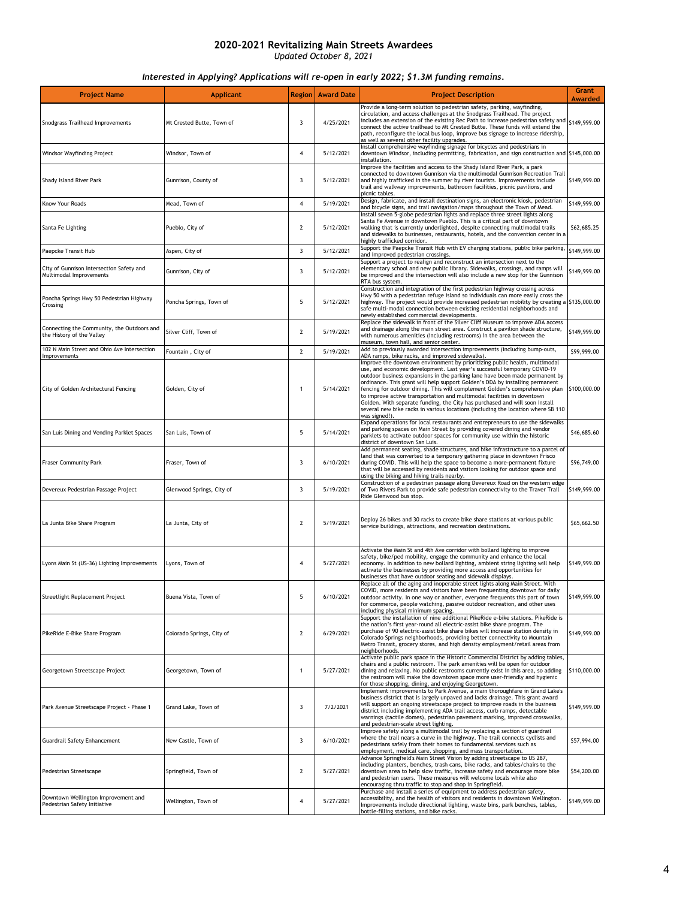| <b>Project Name</b>                                                     | <b>Applicant</b>          | <b>Region</b>  | <b>Award Date</b> | <b>Project Description</b>                                                                                                                                                                                                                                                                                                                                                                                                                                                                                                                                                                                                                                          | <b>Grant</b><br><b>Awarded</b> |
|-------------------------------------------------------------------------|---------------------------|----------------|-------------------|---------------------------------------------------------------------------------------------------------------------------------------------------------------------------------------------------------------------------------------------------------------------------------------------------------------------------------------------------------------------------------------------------------------------------------------------------------------------------------------------------------------------------------------------------------------------------------------------------------------------------------------------------------------------|--------------------------------|
| Snodgrass Trailhead Improvements                                        | Mt Crested Butte, Town of | 3              | 4/25/2021         | Provide a long-term solution to pedestrian safety, parking, wayfinding,<br>circulation, and access challenges at the Snodgrass Trailhead. The project<br>includes an extension of the existing Rec Path to increase pedestrian safety and<br>connect the active trailhead to Mt Crested Butte. These funds will extend the<br>path, reconfigure the local bus loop, improve bus signage to increase ridership,<br>as well as several other facility upgrades.                                                                                                                                                                                                       | \$149,999.00                   |
| Windsor Wayfinding Project                                              | Windsor, Town of          | 4              | 5/12/2021         | Install comprehensive wayfinding signage for bicycles and pedestrians in<br>downtown Windsor, including permitting, fabrication, and sign construction and \$145,000.00<br>installation.                                                                                                                                                                                                                                                                                                                                                                                                                                                                            |                                |
| Shady Island River Park                                                 | Gunnison, County of       | 3              | 5/12/2021         | Improve the facilities and access to the Shady Island River Park, a park<br>connected to downtown Gunnison via the multimodal Gunnison Recreation Trail<br>and highly trafficked in the summer by river tourists. Improvements include<br>trail and walkway improvements, bathroom facilities, picnic pavilions, and<br>picnic tables.                                                                                                                                                                                                                                                                                                                              | \$149,999.00                   |
| Know Your Roads                                                         | Mead, Town of             | 4              | 5/19/2021         | Design, fabricate, and install destination signs, an electronic kiosk, pedestrian<br>and bicycle signs, and trail navigation/maps throughout the Town of Mead.                                                                                                                                                                                                                                                                                                                                                                                                                                                                                                      | \$149,999.00                   |
| Santa Fe Lighting                                                       | Pueblo, City of           | $\mathbf{2}$   | 5/12/2021         | Install seven 5-globe pedestrian lights and replace three street lights along<br>Santa Fe Avenue in downtown Pueblo. This is a critical part of downtown<br>walking that is currently underlighted, despite connecting multimodal trails<br>and sidewalks to businesses, restaurants, hotels, and the convention center in a<br>highly trafficked corridor.                                                                                                                                                                                                                                                                                                         | \$62,685.25                    |
| Paepcke Transit Hub                                                     | Aspen, City of            | 3              | 5/12/2021         | Support the Paepcke Transit Hub with EV charging stations, public bike parking,<br>and improved pedestrian crossings.                                                                                                                                                                                                                                                                                                                                                                                                                                                                                                                                               | \$149,999.00                   |
| City of Gunnison Intersection Safety and<br>Multimodal Improvements     | Gunnison, City of         | 3              | 5/12/2021         | Support a project to realign and reconstruct an intersection next to the<br>elementary school and new public library. Sidewalks, crossings, and ramps will<br>be improved and the intersection will also include a new stop for the Gunnison<br>RTA bus system.                                                                                                                                                                                                                                                                                                                                                                                                     | \$149,999.00                   |
| Poncha Springs Hwy 50 Pedestrian Highway<br>Crossing                    | Poncha Springs, Town of   | 5              | 5/12/2021         | Construction and integration of the first pedestrian highway crossing across<br>Hwy 50 with a pedestrian refuge island so individuals can more easily cross the<br>highway. The project would provide increased pedestrian mobility by creating a $\frac{5135,000.00}{2}$<br>safe multi-modal connection between existing residential neighborhoods and<br>newly established commercial developments.                                                                                                                                                                                                                                                               |                                |
| Connecting the Community, the Outdoors and<br>the History of the Valley | Silver Cliff, Town of     | $\overline{2}$ | 5/19/2021         | Replace the sidewalk in front of the Silver Cliff Museum to improve ADA access<br>and drainage along the main street area. Construct a pavilion shade structure,<br>with numerous amenities (including restrooms) in the area between the<br>museum, town hall, and senior center.                                                                                                                                                                                                                                                                                                                                                                                  | \$149,999.00                   |
| 102 N Main Street and Ohio Ave Intersection<br>Improvements             | Fountain, City of         | $\overline{2}$ | 5/19/2021         | Add to previously awarded intersection improvements (including bump-outs,<br>ADA ramps, bike racks, and improved sidewalks).                                                                                                                                                                                                                                                                                                                                                                                                                                                                                                                                        | \$99,999.00                    |
| City of Golden Architectural Fencing                                    | Golden, City of           | $\mathbf{1}$   | 5/14/2021         | Improve the downtown environment by prioritizing public health, multimodal<br>use, and economic development. Last year's successful temporary COVID-19<br>outdoor business expansions in the parking lane have been made permanent by<br>ordinance. This grant will help support Golden's DDA by installing permanent<br>fencing for outdoor dining. This will complement Golden's comprehensive plan<br>to improve active transportation and multimodal facilities in downtown<br>Golden. With separate funding, the City has purchased and will soon install<br>several new bike racks in various locations (including the location where SB 110<br>was signed!). | \$100,000.00                   |
| San Luis Dining and Vending Parklet Spaces                              | San Luis, Town of         | 5              | 5/14/2021         | Expand operations for local restaurants and entrepreneurs to use the sidewalks<br>and parking spaces on Main Street by providing covered dining and vendor<br>parklets to activate outdoor spaces for community use within the historic<br>district of downtown San Luis.                                                                                                                                                                                                                                                                                                                                                                                           | \$46,685.60                    |
| <b>Fraser Community Park</b>                                            | Fraser, Town of           | 3              | 6/10/2021         | Add permanent seating, shade structures, and bike infrastructure to a parcel of<br>land that was converted to a temporary gathering place in downtown Frisco<br>during COVID. This will help the space to become a more-permanent fixture<br>that will be accessed by residents and visitors looking for outdoor space and<br>using the biking and hiking trails nearby.                                                                                                                                                                                                                                                                                            | \$96,749.00                    |
| Devereux Pedestrian Passage Project                                     | Glenwood Springs, City of | 3              | 5/19/2021         | Construction of a pedestrian passage along Devereux Road on the western edge<br>of Two Rivers Park to provide safe pedestrian connectivity to the Traver Trail<br>Ride Glenwood bus stop.                                                                                                                                                                                                                                                                                                                                                                                                                                                                           | \$149,999.00                   |
| La Junta Bike Share Program                                             | La Junta, City of         | 2              | 5/19/2021         | Deploy 26 bikes and 30 racks to create bike share stations at various public<br>service buildings, attractions, and recreation destinations.                                                                                                                                                                                                                                                                                                                                                                                                                                                                                                                        | \$65,662.50                    |
| Lyons Main St (US-36) Lighting Improvements                             | Lyons, Town of            | 4              | 5/27/2021         | Activate the Main St and 4th Ave corridor with bollard lighting to improve<br>safety, bike/ped mobility, engage the community and enhance the local<br>economy. In addition to new bollard lighting, ambient string lighting will help<br>activate the businesses by providing more access and opportunities for<br>businesses that have outdoor seating and sidewalk displays.                                                                                                                                                                                                                                                                                     | \$149,999.00                   |
| Streetlight Replacement Project                                         | Buena Vista, Town of      | 5              | 6/10/2021         | Replace all of the aging and inoperable street lights along Main Street. With<br>COVID, more residents and visitors have been frequenting downtown for daily<br>outdoor activity. In one way or another, everyone frequents this part of town<br>for commerce, people watching, passive outdoor recreation, and other uses<br>including physical minimum spacing.                                                                                                                                                                                                                                                                                                   | \$149,999.00                   |
| PikeRide E-Bike Share Program                                           | Colorado Springs, City of | 2              | 6/29/2021         | Support the installation of nine additional PikeRide e-bike stations. PikeRide is<br>the nation's first year-round all electric-assist bike share program. The<br>purchase of 90 electric-assist bike share bikes will increase station density in<br>.<br>Colorado Springs neighborhoods, providing better connectivity to Mountain<br>Metro Transit, grocery stores, and high density employment/retail areas from<br>neighborhoods.                                                                                                                                                                                                                              | S149,999.00                    |
| Georgetown Streetscape Project                                          | Georgetown, Town of       | 1              | 5/27/2021         | Activate public park space in the Historic Commercial District by adding tables.<br>chairs and a public restroom. The park amenities will be open for outdoor<br>dining and relaxing. No public restrooms currently exist in this area, so adding<br>the restroom will make the downtown space more user-friendly and hygienic<br>for those shopping, dining, and enjoying Georgetown.                                                                                                                                                                                                                                                                              | \$110,000.00                   |
| Park Avenue Streetscape Project - Phase 1                               | Grand Lake, Town of       | 3              | 7/2/2021          | Implement improvements to Park Avenue, a main thoroughfare in Grand Lake's<br>business district that is largely unpaved and lacks drainage. This grant award<br>will support an ongoing streetscape project to improve roads in the business<br>district including implementing ADA trail access, curb ramps, detectable<br>warnings (tactile domes), pedestrian pavement marking, improved crosswalks,<br>and pedestrian-scale street lighting.                                                                                                                                                                                                                    | \$149,999.00                   |
| <b>Guardrail Safety Enhancement</b>                                     | New Castle, Town of       | 3              | 6/10/2021         | Improve safety along a multimodal trail by replacing a section of guardrail<br>where the trail nears a curve in the highway. The trail connects cyclists and<br>pedestrians safely from their homes to fundamental services such as<br>employment, medical care, shopping, and mass transportation.                                                                                                                                                                                                                                                                                                                                                                 | \$57,994.00                    |
| Pedestrian Streetscape                                                  | Springfield, Town of      | $\overline{2}$ | 5/27/2021         | Advance Springfield's Main Street Vision by adding streetscape to US 287,<br>including planters, benches, trash cans, bike racks, and tables/chairs to the<br>downtown area to help slow traffic, increase safety and encourage more bike<br>and pedestrian users. These measures will welcome locals while also<br>encouraging thru traffic to stop and shop in Springfield.                                                                                                                                                                                                                                                                                       | \$54,200.00                    |
| Downtown Wellington Improvement and<br>Pedestrian Safety Initiative     | Wellington, Town of       | $\overline{4}$ | 5/27/2021         | Purchase and install a series of equipment to address pedestrian safety,<br>accessibility, and the health of visitors and residents in downtown Wellington.<br>Improvements include directional lighting, waste bins, park benches, tables,<br>bottle-filling stations, and bike racks.                                                                                                                                                                                                                                                                                                                                                                             | \$149,999.00                   |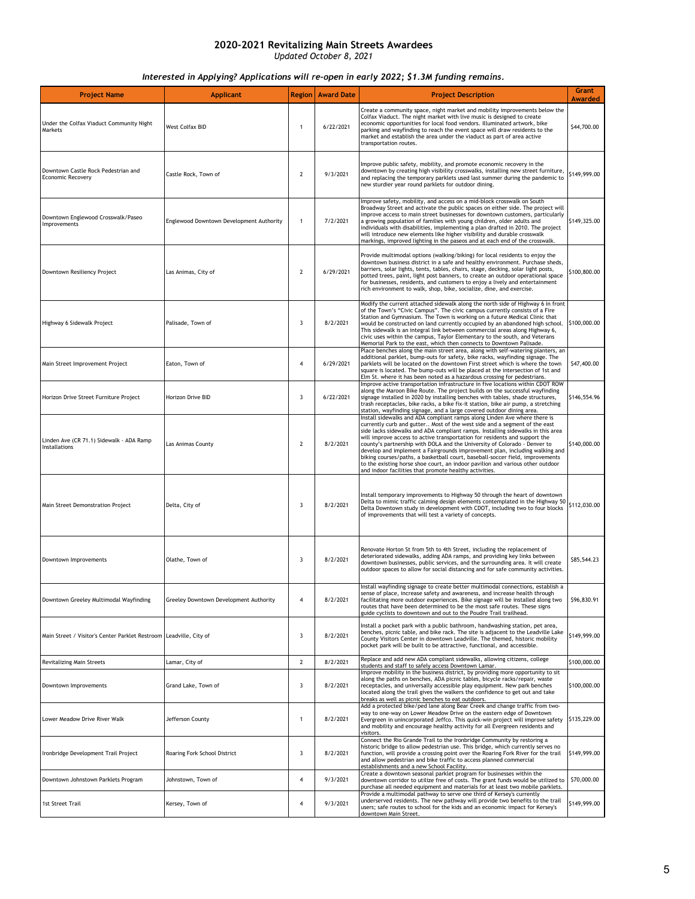| <b>Project Name</b>                                                  | <b>Applicant</b>                         | <b>Region</b>  | <b>Award Date</b> | <b>Project Description</b>                                                                                                                                                                                                                                                                                                                                                                                                                                                                                                                                                                                                                                                                                       | Grant<br><b>Awarded</b> |
|----------------------------------------------------------------------|------------------------------------------|----------------|-------------------|------------------------------------------------------------------------------------------------------------------------------------------------------------------------------------------------------------------------------------------------------------------------------------------------------------------------------------------------------------------------------------------------------------------------------------------------------------------------------------------------------------------------------------------------------------------------------------------------------------------------------------------------------------------------------------------------------------------|-------------------------|
| Under the Colfax Viaduct Community Night<br>Markets                  | West Colfax BID                          | $\mathbf{1}$   | 6/22/2021         | Create a community space, night market and mobility improvements below the<br>Colfax Viaduct. The night market with live music is designed to create<br>economic opportunities for local food vendors. Illuminated artwork, bike<br>parking and wayfinding to reach the event space will draw residents to the<br>market and establish the area under the viaduct as part of area active<br>transportation routes.                                                                                                                                                                                                                                                                                               | \$44,700.00             |
| Downtown Castle Rock Pedestrian and<br><b>Economic Recovery</b>      | Castle Rock, Town of                     | $\overline{2}$ | 9/3/2021          | Improve public safety, mobility, and promote economic recovery in the<br>downtown by creating high visibility crosswalks, installing new street furniture,<br>and replacing the temporary parklets used last summer during the pandemic to<br>new sturdier year round parklets for outdoor dining.                                                                                                                                                                                                                                                                                                                                                                                                               | \$149,999.00            |
| Downtown Englewood Crosswalk/Paseo<br>Improvements                   | Englewood Downtown Development Authority | $\mathbf{1}$   | 7/2/2021          | Improve safety, mobility, and access on a mid-block crosswalk on South<br>Broadway Street and activate the public spaces on either side. The project will<br>improve access to main street businesses for downtown customers, particularly<br>a growing population of families with young children, older adults and<br>individuals with disabilities, implementing a plan drafted in 2010. The project<br>will introduce new elements like higher visibility and durable crosswalk<br>markings, improved lighting in the paseos and at each end of the crosswalk.                                                                                                                                               | \$149,325.00            |
| Downtown Resiliency Project                                          | Las Animas, City of                      | $\overline{2}$ | 6/29/2021         | Provide multimodal options (walking/biking) for local residents to enjoy the<br>downtown business district in a safe and healthy environment. Purchase sheds,<br>barriers, solar lights, tents, tables, chairs, stage, decking, solar light posts,<br>potted trees, paint, light post banners, to create an outdoor operational space<br>for businesses, residents, and customers to enjoy a lively and entertainment<br>rich environment to walk, shop, bike, socialize, dine, and exercise.                                                                                                                                                                                                                    | \$100,800.00            |
| Highway 6 Sidewalk Project                                           | Palisade, Town of                        | 3              | 8/2/2021          | Modify the current attached sidewalk along the north side of Highway 6 in front<br>of the Town's "Civic Campus". The civic campus currently consists of a Fire<br>Station and Gymnasium. The Town is working on a future Medical Clinic that<br>would be constructed on land currently occupied by an abandoned high school.<br>This sidewalk is an integral link between commercial areas along Highway 6,<br>civic uses within the campus, Taylor Elementary to the south, and Veterans<br>Memorial Park to the east, which then connects to Downtown Palisade.                                                                                                                                                | \$100,000.00            |
| Main Street Improvement Project                                      | Eaton, Town of                           | 4              | 6/29/2021         | Place benches along the main street area, along with self-watering planters, an<br>additional parklet, bump-outs for safety, bike racks, wayfinding signage. The<br>parklets will be located on the downtown First street which is where the town<br>square is located. The bump-outs will be placed at the intersection of 1st and<br>Elm St. where it has been noted as a hazardous crossing for pedestrians.                                                                                                                                                                                                                                                                                                  | \$47,400.00             |
| Horizon Drive Street Furniture Project                               | Horizon Drive BID                        | 3              | 6/22/2021         | Improve active transportation infrastructure in five locations within CDOT ROW<br>along the Maroon Bike Route. The project builds on the successful wayfinding<br>signage installed in 2020 by installing benches with tables, shade structures,<br>trash receptacles, bike racks, a bike fix-it station, bike air pump, a stretching<br>station, wayfinding signage, and a large covered outdoor dining area.                                                                                                                                                                                                                                                                                                   | \$146,554.96            |
| Linden Ave (CR 71.1) Sidewalk - ADA Ramp<br>Installations            | Las Animas County                        | 2              | 8/2/2021          | Install sidewalks and ADA compliant ramps along Linden Ave where there is<br>currently curb and gutter Most of the west side and a segment of the east<br>side lacks sidewalks and ADA compliant ramps. Installing sidewalks in this area<br>will improve access to active transportation for residents and support the<br>county's partnership with DOLA and the University of Colorado - Denver to<br>develop and implement a Fairgrounds improvement plan, including walking and<br>biking courses/paths, a basketball court, baseball-soccer field, improvements<br>to the existing horse shoe court, an indoor pavilion and various other outdoor<br>and indoor facilities that promote healthy activities. | \$140,000.00            |
| Main Street Demonstration Project                                    | Delta, City of                           | 3              | 8/2/2021          | Install temporary improvements to Highway 50 through the heart of downtown<br>Delta to mimic traffic calming design elements contemplated in the Highway 50<br>Delta Downtown study in development with CDOT, including two to four blocks<br>of improvements that will test a variety of concepts.                                                                                                                                                                                                                                                                                                                                                                                                              | \$112,030.00            |
| Downtown Improvements                                                | Olathe, Town of                          | 3              | 8/2/2021          | Renovate Horton St from 5th to 4th Street, including the replacement of<br>deteriorated sidewalks, adding ADA ramps, and providing key links between<br>downtown businesses, public services, and the surrounding area. It will create<br>outdoor spaces to allow for social distancing and for safe community activities.                                                                                                                                                                                                                                                                                                                                                                                       | \$85,544.23             |
| Downtown Greeley Multimodal Wayfinding                               | Greeley Downtown Development Authority   | 4              | 8/2/2021          | Install wayfinding signage to create better multimodal connections, establish a<br>sense or place, increase sarety and awareness, and increase nealth through<br>facilitating more outdoor experiences. Bike signage will be installed along two<br>routes that have been determined to be the most safe routes. These signs<br>guide cyclists to downtown and out to the Poudre Trail trailhead.                                                                                                                                                                                                                                                                                                                | \$96,830.91             |
| Main Street / Visitor's Center Parklet Restroom   Leadville, City of |                                          | 3              | 8/2/2021          | Install a pocket park with a public bathroom, handwashing station, pet area,<br>benches, picnic table, and bike rack. The site is adjacent to the Leadville Lake<br>County Visitors Center in downtown Leadville. The themed, historic mobility<br>pocket park will be built to be attractive, functional, and accessible.                                                                                                                                                                                                                                                                                                                                                                                       | \$149,999.00            |
| <b>Revitalizing Main Streets</b>                                     | Lamar, City of                           | $\overline{2}$ | 8/2/2021          | Replace and add new ADA compliant sidewalks, allowing citizens, college<br>students and staff to safely access Downtown Lamar.                                                                                                                                                                                                                                                                                                                                                                                                                                                                                                                                                                                   | \$100,000.00            |
| Downtown Improvements                                                | Grand Lake, Town of                      | 3              | 8/2/2021          | Improve mobility in the business district, by providing more opportunity to sit<br>along the paths on benches, ADA picnic tables, bicycle racks/repair, waste<br>receptacles, and universally accessible play equipment. New park benches<br>located along the trail gives the walkers the confidence to get out and take<br>breaks as well as picnic benches to eat outdoors.                                                                                                                                                                                                                                                                                                                                   | \$100,000.00            |
| Lower Meadow Drive River Walk                                        | Jefferson County                         | 1              | 8/2/2021          | Add a protected bike/ped lane along Bear Creek and change traffic from two-<br>way to one-way on Lower Meadow Drive on the eastern edge of Downtown<br>Evergreen in unincorporated Jeffco. This quick-win project will improve safety<br>and mobility and encourage healthy activity for all Evergreen residents and<br>visitors.                                                                                                                                                                                                                                                                                                                                                                                | \$135,229.00            |
| Ironbridge Development Trail Project                                 | Roaring Fork School District             | 3              | 8/2/2021          | Connect the Rio Grande Trail to the Ironbridge Community by restoring a<br>historic bridge to allow pedestrian use. This bridge, which currently serves no<br>function, will provide a crossing point over the Roaring Fork River for the trail<br>and allow pedestrian and bike traffic to access planned commercial<br>establishments and a new School Facility.                                                                                                                                                                                                                                                                                                                                               | \$149,999.00            |
| Downtown Johnstown Parklets Program                                  | Johnstown, Town of                       | 4              | 9/3/2021          | Create a downtown seasonal parklet program for businesses within the<br>downtown corridor to utilize free of costs. The grant funds would be utilized to<br>purchase all needed equipment and materials for at least two mobile parklets.                                                                                                                                                                                                                                                                                                                                                                                                                                                                        | \$70,000.00             |
| 1st Street Trail                                                     | Kersey, Town of                          | 4              | 9/3/2021          | Provide a multimodal pathway to serve one third of Kersey's currently<br>underserved residents. The new pathway will provide two benefits to the trail<br>users; safe routes to school for the kids and an economic impact for Kersey's<br>downtown Main Street.                                                                                                                                                                                                                                                                                                                                                                                                                                                 | \$149,999.00            |